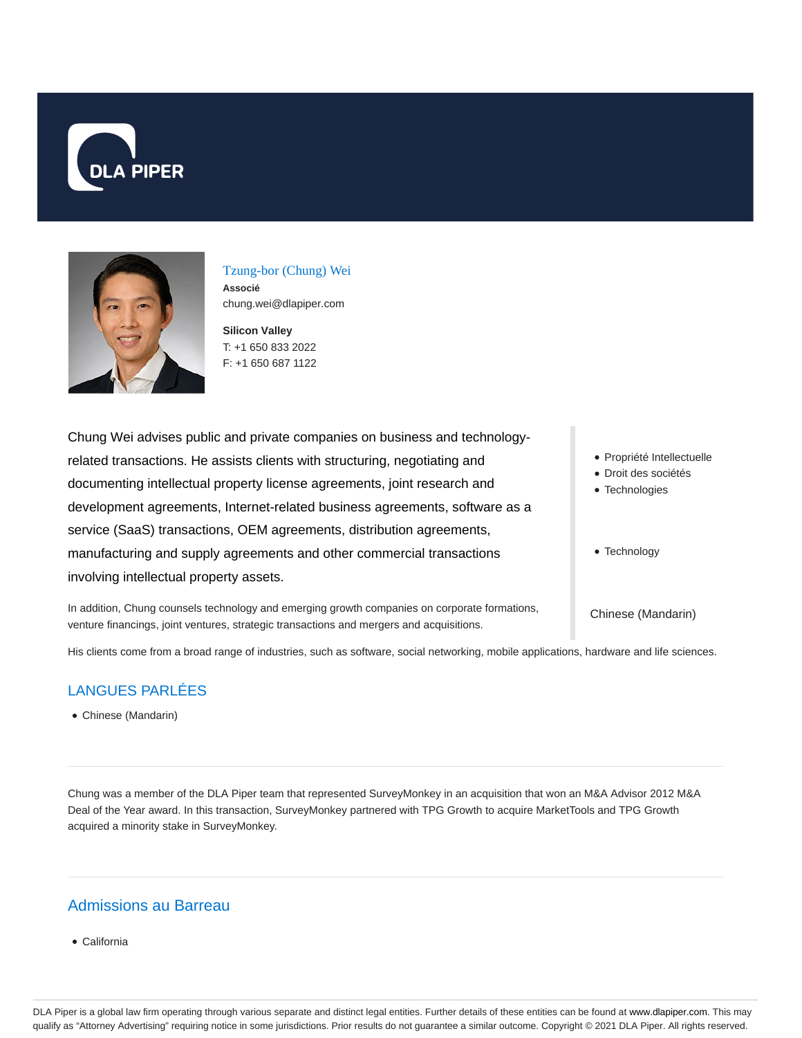



Tzung-bor (Chung) Wei **Associé** chung.wei@dlapiper.com

**Silicon Valley** T: +1 650 833 2022 F: +1 650 687 1122

Droit des sociétés • Technologies • Technology Chung Wei advises public and private companies on business and technologyrelated transactions. He assists clients with structuring, negotiating and documenting intellectual property license agreements, joint research and development agreements, Internet-related business agreements, software as a service (SaaS) transactions, OEM agreements, distribution agreements, manufacturing and supply agreements and other commercial transactions involving intellectual property assets.

In addition, Chung counsels technology and emerging growth companies on corporate formations, venture financings, joint ventures, strategic transactions and mergers and acquisitions.

Propriété Intellectuelle

Chinese (Mandarin)

His clients come from a broad range of industries, such as software, social networking, mobile applications, hardware and life sciences.

### LANGUES PARLÉES

Chinese (Mandarin)

Chung was a member of the DLA Piper team that represented SurveyMonkey in an acquisition that won an M&A Advisor 2012 M&A Deal of the Year award. In this transaction, SurveyMonkey partnered with TPG Growth to acquire MarketTools and TPG Growth acquired a minority stake in SurveyMonkey.

## Admissions au Barreau

California

DLA Piper is a global law firm operating through various separate and distinct legal entities. Further details of these entities can be found at www.dlapiper.com. This may qualify as "Attorney Advertising" requiring notice in some jurisdictions. Prior results do not guarantee a similar outcome. Copyright © 2021 DLA Piper. All rights reserved.